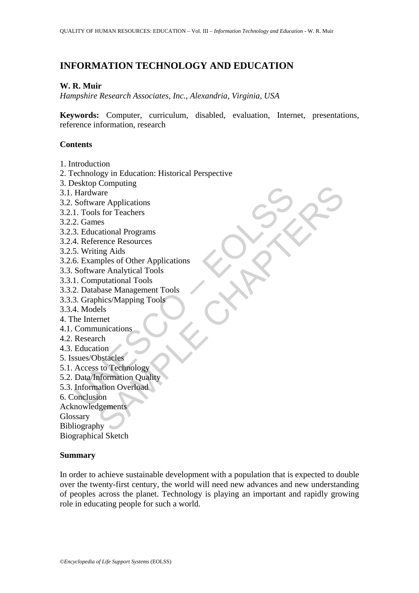# **INFORMATION TECHNOLOGY AND EDUCATION**

## **W. R. Muir**

*Hampshire Research Associates, Inc., Alexandria, Virginia, USA* 

**Keywords:** Computer, curriculum, disabled, evaluation, Internet, presentations, reference information, research

### **Contents**

- 1. Introduction
- 2. Technology in Education: Historical Perspective
- 3. Desktop Computing
- 3.1. Hardware
- 3.2. Software Applications
- 3.2.1. Tools for Teachers
- 3.2.2. Games
- 3.2.3. Educational Programs
- 3.2.4. Reference Resources
- 3.2.5. Writing Aids
- Example Individually<br>
Hardware<br>
Software Applications<br>
1. Tools for Teachers<br>
2. Games<br>
2. Games<br>
4. Reference Resources<br>
5. Writing Aids<br>
6. Examples of Other Applications<br>
Software Analytical Tools<br>
1. Computational Tool Comparing<br>
are<br>
are<br>
are<br>
are Applications<br>
stor Teachers<br>
calidational Programs<br>
remex Resources<br>
ing Aids<br>
putational Tools<br>
putational Tools<br>
butational Tools<br>
els<br>
els<br>
ch<br>
tion<br>
this staceles<br>
ch<br>
tion<br>
to Technology<br> 3.2.6. Examples of Other Applications
- 3.3. Software Analytical Tools
- 3.3.1. Computational Tools
- 3.3.2. Database Management Tools
- 3.3.3. Graphics/Mapping Tools
- 3.3.4. Models
- 4. The Internet
- 4.1. Communications
- 4.2. Research
- 4.3. Education
- 5. Issues/Obstacles
- 5.1. Access to Technology
- 5.2. Data/Information Quality
- 5.3. Information Overload
- 6. Conclusion
- Acknowledgements

**Glossary** 

Bibliography

Biographical Sketch

## **Summary**

In order to achieve sustainable development with a population that is expected to double over the twenty-first century, the world will need new advances and new understanding of peoples across the planet. Technology is playing an important and rapidly growing role in educating people for such a world.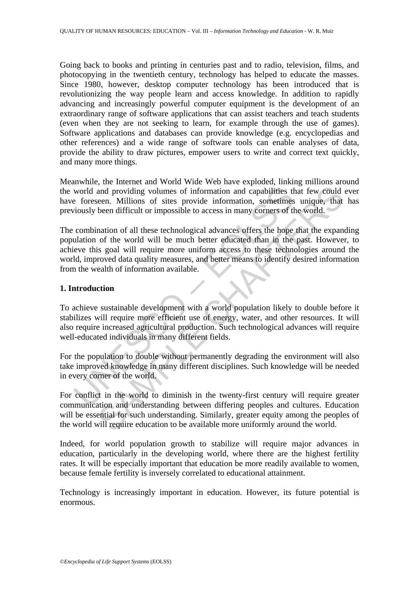Going back to books and printing in centuries past and to radio, television, films, and photocopying in the twentieth century, technology has helped to educate the masses. Since 1980, however, desktop computer technology has been introduced that is revolutionizing the way people learn and access knowledge. In addition to rapidly advancing and increasingly powerful computer equipment is the development of an extraordinary range of software applications that can assist teachers and teach students (even when they are not seeking to learn, for example through the use of games). Software applications and databases can provide knowledge (e.g. encyclopedias and other references) and a wide range of software tools can enable analyses of data, provide the ability to draw pictures, empower users to write and correct text quickly, and many more things.

Meanwhile, the Internet and World Wide Web have exploded, linking millions around the world and providing volumes of information and capabilities that few could ever have foreseen. Millions of sites provide information, sometimes unique, that has previously been difficult or impossible to access in many corners of the world.

world and providing volumes of information and capabilities the foreseen. Millions of sites provide information, sometimes<br>viously been difficult or impossible to access in many corners of th<br>combination of all these techn and providing volumes of information and capabilities that few could<br>ceen. Millions of sites provide information and capabilities that few could<br>ceen. Millions of sites provide information, sometimes unique, that<br>been diff The combination of all these technological advances offers the hope that the expanding population of the world will be much better educated than in the past. However, to achieve this goal will require more uniform access to these technologies around the world, improved data quality measures, and better means to identify desired information from the wealth of information available.

## **1. Introduction**

To achieve sustainable development with a world population likely to double before it stabilizes will require more efficient use of energy, water, and other resources. It will also require increased agricultural production. Such technological advances will require well-educated individuals in many different fields.

For the population to double without permanently degrading the environment will also take improved knowledge in many different disciplines. Such knowledge will be needed in every corner of the world.

For conflict in the world to diminish in the twenty-first century will require greater communication and understanding between differing peoples and cultures. Education will be essential for such understanding. Similarly, greater equity among the peoples of the world will require education to be available more uniformly around the world.

Indeed, for world population growth to stabilize will require major advances in education, particularly in the developing world, where there are the highest fertility rates. It will be especially important that education be more readily available to women, because female fertility is inversely correlated to educational attainment.

Technology is increasingly important in education. However, its future potential is enormous.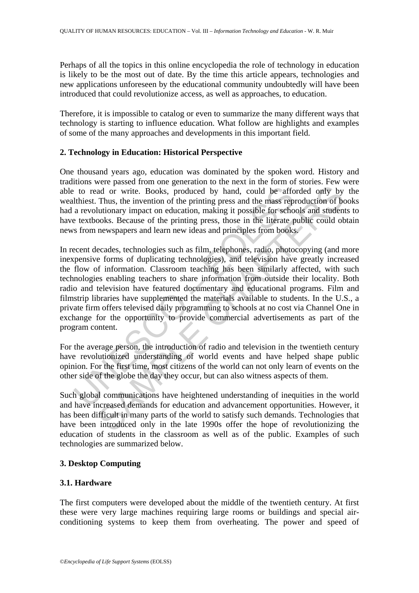Perhaps of all the topics in this online encyclopedia the role of technology in education is likely to be the most out of date. By the time this article appears, technologies and new applications unforeseen by the educational community undoubtedly will have been introduced that could revolutionize access, as well as approaches, to education.

Therefore, it is impossible to catalog or even to summarize the many different ways that technology is starting to influence education. What follow are highlights and examples of some of the many approaches and developments in this important field.

## **2. Technology in Education: Historical Perspective**

One thousand years ago, education was dominated by the spoken word. History and traditions were passed from one generation to the next in the form of stories. Few were able to read or write. Books, produced by hand, could be afforded only by the wealthiest. Thus, the invention of the printing press and the mass reproduction of books had a revolutionary impact on education, making it possible for schools and students to have textbooks. Because of the printing press, those in the literate public could obtain news from newspapers and learn new ideas and principles from books.

to read or write. Books, produced by hand, could be afforthiest. Thus, the invention of the printing press and the mass rep a revolutionary impact on education, making it possible for sehole textbooks. Because of the print and or write. Books, produced by hand, could be afforded only by<br>Thus, the invention of the printing press and the mass reproduction of bo<br>Chutionary impact on education, making it possible for schools and studen<br>newspaper In recent decades, technologies such as film, telephones, radio, photocopying (and more inexpensive forms of duplicating technologies), and television have greatly increased the flow of information. Classroom teaching has been similarly affected, with such technologies enabling teachers to share information from outside their locality. Both radio and television have featured documentary and educational programs. Film and filmstrip libraries have supplemented the materials available to students. In the U.S., a private firm offers televised daily programming to schools at no cost via Channel One in exchange for the opportunity to provide commercial advertisements as part of the program content.

For the average person, the introduction of radio and television in the twentieth century have revolutionized understanding of world events and have helped shape public opinion. For the first time, most citizens of the world can not only learn of events on the other side of the globe the day they occur, but can also witness aspects of them.

Such global communications have heightened understanding of inequities in the world and have increased demands for education and advancement opportunities. However, it has been difficult in many parts of the world to satisfy such demands. Technologies that have been introduced only in the late 1990s offer the hope of revolutionizing the education of students in the classroom as well as of the public. Examples of such technologies are summarized below.

# **3. Desktop Computing**

# **3.1. Hardware**

The first computers were developed about the middle of the twentieth century. At first these were very large machines requiring large rooms or buildings and special airconditioning systems to keep them from overheating. The power and speed of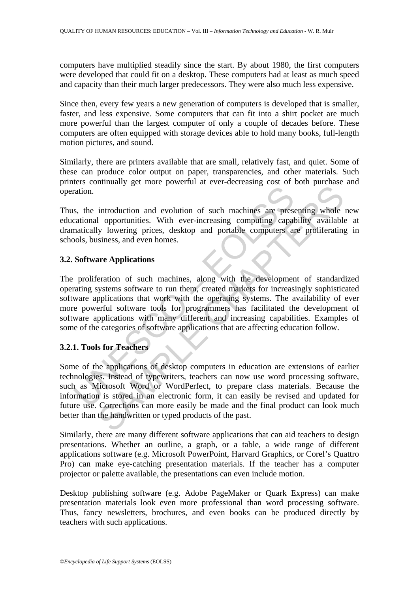computers have multiplied steadily since the start. By about 1980, the first computers were developed that could fit on a desktop. These computers had at least as much speed and capacity than their much larger predecessors. They were also much less expensive.

Since then, every few years a new generation of computers is developed that is smaller, faster, and less expensive. Some computers that can fit into a shirt pocket are much more powerful than the largest computer of only a couple of decades before. These computers are often equipped with storage devices able to hold many books, full-length motion pictures, and sound.

Similarly, there are printers available that are small, relatively fast, and quiet. Some of these can produce color output on paper, transparencies, and other materials. Such printers continually get more powerful at ever-decreasing cost of both purchase and operation.

Thus, the introduction and evolution of such machines are presenting whole new educational opportunities. With ever-increasing computing capability available at dramatically lowering prices, desktop and portable computers are proliferating in schools, business, and even homes.

## **3.2. Software Applications**

ration.<br>
S., the introduction and evolution of such machines are presentional opportunities. With ever-increasing computing capabitantically lowering prices, desktop and pottable computers and objets and solos, business, a The proliferation of such machines, along with the development of standardized operating systems software to run them, created markets for increasingly sophisticated software applications that work with the operating systems. The availability of ever more powerful software tools for programmers has facilitated the development of software applications with many different and increasing capabilities. Examples of some of the categories of software applications that are affecting education follow.

## **3.2.1. Tools for Teachers**

introduction and evolution of such machines are presenting which proportinates. With ever-increasing computing capability availably lowering prices, desktop and portable computers are proliferating siness, and even homes.<br> Some of the applications of desktop computers in education are extensions of earlier technologies. Instead of typewriters, teachers can now use word processing software, such as Microsoft Word or WordPerfect, to prepare class materials. Because the information is stored in an electronic form, it can easily be revised and updated for future use. Corrections can more easily be made and the final product can look much better than the handwritten or typed products of the past.

Similarly, there are many different software applications that can aid teachers to design presentations. Whether an outline, a graph, or a table, a wide range of different applications software (e.g. Microsoft PowerPoint, Harvard Graphics, or Corel's Quattro Pro) can make eye-catching presentation materials. If the teacher has a computer projector or palette available, the presentations can even include motion.

Desktop publishing software (e.g. Adobe PageMaker or Quark Express) can make presentation materials look even more professional than word processing software. Thus, fancy newsletters, brochures, and even books can be produced directly by teachers with such applications.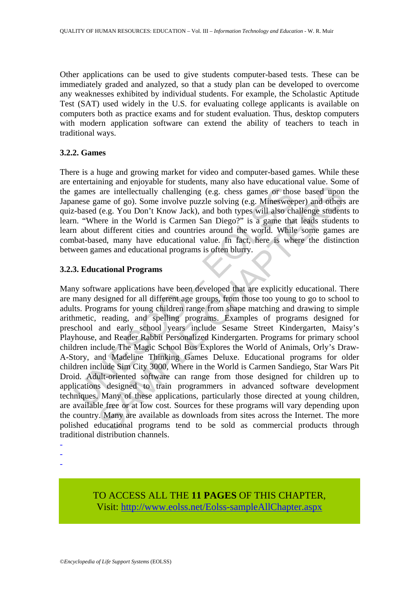Other applications can be used to give students computer-based tests. These can be immediately graded and analyzed, so that a study plan can be developed to overcome any weaknesses exhibited by individual students. For example, the Scholastic Aptitude Test (SAT) used widely in the U.S. for evaluating college applicants is available on computers both as practice exams and for student evaluation. Thus, desktop computers with modern application software can extend the ability of teachers to teach in traditional ways.

#### **3.2.2. Games**

There is a huge and growing market for video and computer-based games. While these are entertaining and enjoyable for students, many also have educational value. Some of the games are intellectually challenging (e.g. chess games or those based upon the Japanese game of go). Some involve puzzle solving (e.g. Minesweeper) and others are quiz-based (e.g. You Don't Know Jack), and both types will also challenge students to learn. "Where in the World is Carmen San Diego?" is a game that leads students to learn about different cities and countries around the world. While some games are combat-based, many have educational value. In fact, here is where the distinction between games and educational programs is often blurry.

## **3.2.3. Educational Programs**

games are intellectually challenging (e.g. chess games or thosense game of go). Some involve puzzle solving (e.g. Minesweep-based (e.g. You Don't Know Jack), and both types will also ch. "Where in the World is Carmen San D are intellectually challenging (e.g. chess games or those based upon<br>are intellectually challenging (e.g. chess games or those based upon<br>ame of go). Some involve puzzle solving (e.g. Minesweeper) and others<br>are of go. Yo Many software applications have been developed that are explicitly educational. There are many designed for all different age groups, from those too young to go to school to adults. Programs for young children range from shape matching and drawing to simple arithmetic, reading, and spelling programs. Examples of programs designed for preschool and early school years include Sesame Street Kindergarten, Maisy's Playhouse, and Reader Rabbit Personalized Kindergarten. Programs for primary school children include The Magic School Bus Explores the World of Animals, Orly's Draw-A-Story, and Madeline Thinking Games Deluxe. Educational programs for older children include Sim City 3000, Where in the World is Carmen Sandiego, Star Wars Pit Droid. Adult-oriented software can range from those designed for children up to applications designed to train programmers in advanced software development techniques. Many of these applications, particularly those directed at young children, are available free or at low cost. Sources for these programs will vary depending upon the country. Many are available as downloads from sites across the Internet. The more polished educational programs tend to be sold as commercial products through traditional distribution channels.

- -

-

TO ACCESS ALL THE **11 PAGES** OF THIS CHAPTER, Visit: [http://www.eolss.net/Eolss-sampleAllChapter.aspx](https://www.eolss.net/ebooklib/sc_cart.aspx?File=E1-12-05-09)